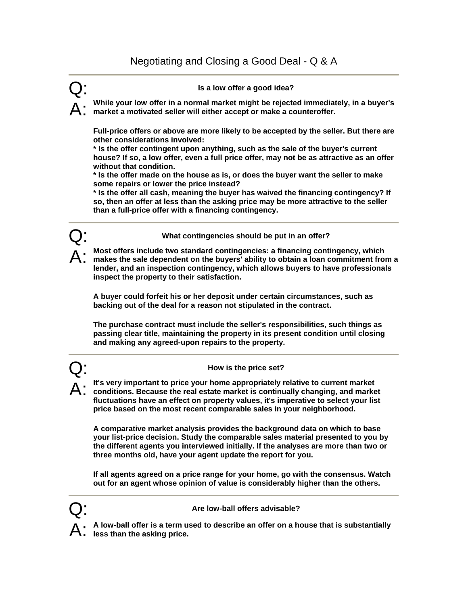# Q: **Is a low offer a good idea?**

A: **While your low offer in a normal market might be rejected immediately, in a buyer's market a motivated seller will either accept or make a counteroffer.** 

**Full-price offers or above are more likely to be accepted by the seller. But there are other considerations involved:** 

**\* Is the offer contingent upon anything, such as the sale of the buyer's current house? If so, a low offer, even a full price offer, may not be as attractive as an offer without that condition.** 

**\* Is the offer made on the house as is, or does the buyer want the seller to make some repairs or lower the price instead?** 

**\* Is the offer all cash, meaning the buyer has waived the financing contingency? If so, then an offer at less than the asking price may be more attractive to the seller than a full-price offer with a financing contingency.** 



A: **Most offers include two standard contingencies: a financing contingency, which makes the sale dependent on the buyers' ability to obtain a loan commitment from a lender, and an inspection contingency, which allows buyers to have professionals inspect the property to their satisfaction.** 

**A buyer could forfeit his or her deposit under certain circumstances, such as backing out of the deal for a reason not stipulated in the contract.** 

**The purchase contract must include the seller's responsibilities, such things as passing clear title, maintaining the property in its present condition until closing and making any agreed-upon repairs to the property.** 



## Q: **How is the price set?**

A: **It's very important to price your home appropriately relative to current market conditions. Because the real estate market is continually changing, and market fluctuations have an effect on property values, it's imperative to select your list price based on the most recent comparable sales in your neighborhood.** 

**A comparative market analysis provides the background data on which to base your list-price decision. Study the comparable sales material presented to you by the different agents you interviewed initially. If the analyses are more than two or three months old, have your agent update the report for you.** 

**If all agents agreed on a price range for your home, go with the consensus. Watch out for an agent whose opinion of value is considerably higher than the others.** 



### Q: **Are low-ball offers advisable?**

A: **A low-ball offer is a term used to describe an offer on a house that is substantially less than the asking price.**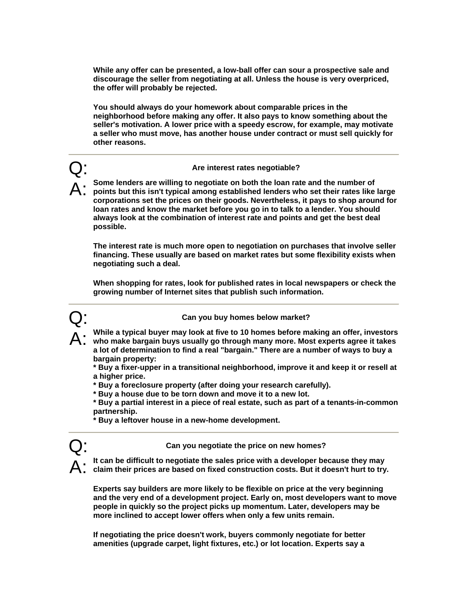**While any offer can be presented, a low-ball offer can sour a prospective sale and discourage the seller from negotiating at all. Unless the house is very overpriced, the offer will probably be rejected.** 

**You should always do your homework about comparable prices in the neighborhood before making any offer. It also pays to know something about the seller's motivation. A lower price with a speedy escrow, for example, may motivate a seller who must move, has another house under contract or must sell quickly for other reasons.** 

### Q: **Are interest rates negotiable?**

A: **Some lenders are willing to negotiate on both the loan rate and the number of points but this isn't typical among established lenders who set their rates like large corporations set the prices on their goods. Nevertheless, it pays to shop around for loan rates and know the market before you go in to talk to a lender. You should always look at the combination of interest rate and points and get the best deal possible.** 

**The interest rate is much more open to negotiation on purchases that involve seller financing. These usually are based on market rates but some flexibility exists when negotiating such a deal.** 

**When shopping for rates, look for published rates in local newspapers or check the growing number of Internet sites that publish such information.** 



Q: **Can you buy homes below market?** 

A: **While a typical buyer may look at five to 10 homes before making an offer, investors who make bargain buys usually go through many more. Most experts agree it takes** 

**a lot of determination to find a real "bargain." There are a number of ways to buy a bargain property:** 

**\* Buy a fixer-upper in a transitional neighborhood, improve it and keep it or resell at a higher price.** 

**\* Buy a foreclosure property (after doing your research carefully).** 

**\* Buy a house due to be torn down and move it to a new lot.** 

**\* Buy a partial interest in a piece of real estate, such as part of a tenants-in-common partnership.** 

**\* Buy a leftover house in a new-home development.** 



Q: **Can you negotiate the price on new homes?** 

A: **It can be difficult to negotiate the sales price with a developer because they may claim their prices are based on fixed construction costs. But it doesn't hurt to try.** 

**Experts say builders are more likely to be flexible on price at the very beginning and the very end of a development project. Early on, most developers want to move people in quickly so the project picks up momentum. Later, developers may be more inclined to accept lower offers when only a few units remain.** 

**If negotiating the price doesn't work, buyers commonly negotiate for better amenities (upgrade carpet, light fixtures, etc.) or lot location. Experts say a**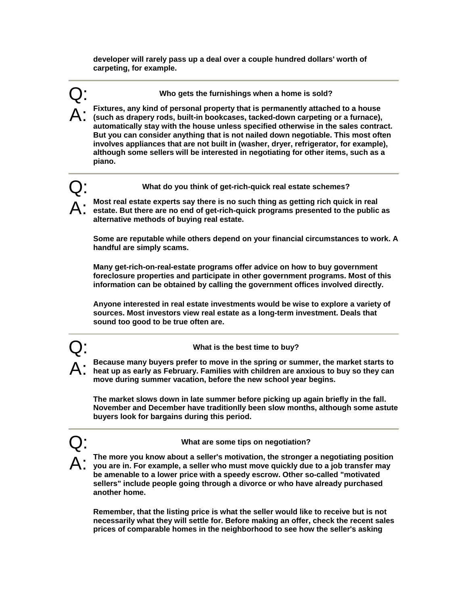**developer will rarely pass up a deal over a couple hundred dollars' worth of carpeting, for example.** 

Q: **Who gets the furnishings when a home is sold?** 

A: **Fixtures, any kind of personal property that is permanently attached to a house (such as drapery rods, built-in bookcases, tacked-down carpeting or a furnace), automatically stay with the house unless specified otherwise in the sales contract. But you can consider anything that is not nailed down negotiable. This most often involves appliances that are not built in (washer, dryer, refrigerator, for example), although some sellers will be interested in negotiating for other items, such as a piano.** 

Q: **What do you think of get-rich-quick real estate schemes?** 

A: **Most real estate experts say there is no such thing as getting rich quick in real estate. But there are no end of get-rich-quick programs presented to the public as alternative methods of buying real estate.** 

**Some are reputable while others depend on your financial circumstances to work. A handful are simply scams.** 

**Many get-rich-on-real-estate programs offer advice on how to buy government foreclosure properties and participate in other government programs. Most of this information can be obtained by calling the government offices involved directly.** 

**Anyone interested in real estate investments would be wise to explore a variety of sources. Most investors view real estate as a long-term investment. Deals that sound too good to be true often are.** 

## Q: **What is the best time to buy?**

A: **Because many buyers prefer to move in the spring or summer, the market starts to heat up as early as February. Families with children are anxious to buy so they can move during summer vacation, before the new school year begins.** 

**The market slows down in late summer before picking up again briefly in the fall. November and December have traditionlly been slow months, although some astute buyers look for bargains during this period.** 

## Q: **What are some tips on negotiation?**

A: **The more you know about a seller's motivation, the stronger a negotiating position you are in. For example, a seller who must move quickly due to a job transfer may be amenable to a lower price with a speedy escrow. Other so-called "motivated sellers" include people going through a divorce or who have already purchased another home.** 

**Remember, that the listing price is what the seller would like to receive but is not necessarily what they will settle for. Before making an offer, check the recent sales prices of comparable homes in the neighborhood to see how the seller's asking**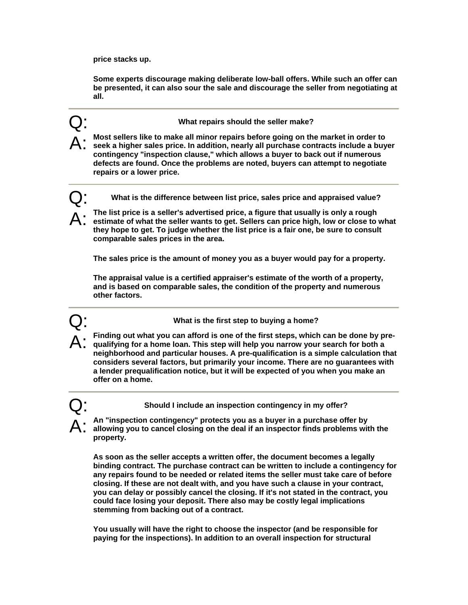**price stacks up.** 

**Some experts discourage making deliberate low-ball offers. While such an offer can be presented, it can also sour the sale and discourage the seller from negotiating at all.** 

Q: **What repairs should the seller make?** 

A: Most sellers like to make all minor repairs before going on the market in order to<br>
Seek a higher sales price. In addition, nearly all purchase contracts include a buyer<br>  $\blacksquare$ **contingency "inspection clause," which allows a buyer to back out if numerous defects are found. Once the problems are noted, buyers can attempt to negotiate repairs or a lower price.** 

Q: **What is the difference between list price, sales price and appraised value?**

A: The list price is a seller's advertised price, a figure that usually is only a rough<br>
estimate of what the seller wants to get. Sellers can price high, low or close to what<br>
intendent of the seller what is the seller is **they hope to get. To judge whether the list price is a fair one, be sure to consult comparable sales prices in the area.** 

**The sales price is the amount of money you as a buyer would pay for a property.** 

**The appraisal value is a certified appraiser's estimate of the worth of a property, and is based on comparable sales, the condition of the property and numerous other factors.** 

Q: **What is the first step to buying a home?** 

A: **Finding out what you can afford is one of the first steps, which can be done by pre-qualifying for a home loan. This step will help you narrow your search for both a neighborhood and particular houses. A pre-qualification is a simple calculation that considers several factors, but primarily your income. There are no guarantees with a lender prequalification notice, but it will be expected of you when you make an offer on a home.** 

Q: **Should I include an inspection contingency in my offer?** 

A: **An "inspection contingency" protects you as a buyer in a purchase offer by allowing you to cancel closing on the deal if an inspector finds problems with the property.** 

**As soon as the seller accepts a written offer, the document becomes a legally binding contract. The purchase contract can be written to include a contingency for any repairs found to be needed or related items the seller must take care of before closing. If these are not dealt with, and you have such a clause in your contract, you can delay or possibly cancel the closing. If it's not stated in the contract, you could face losing your deposit. There also may be costly legal implications stemming from backing out of a contract.** 

**You usually will have the right to choose the inspector (and be responsible for paying for the inspections). In addition to an overall inspection for structural**